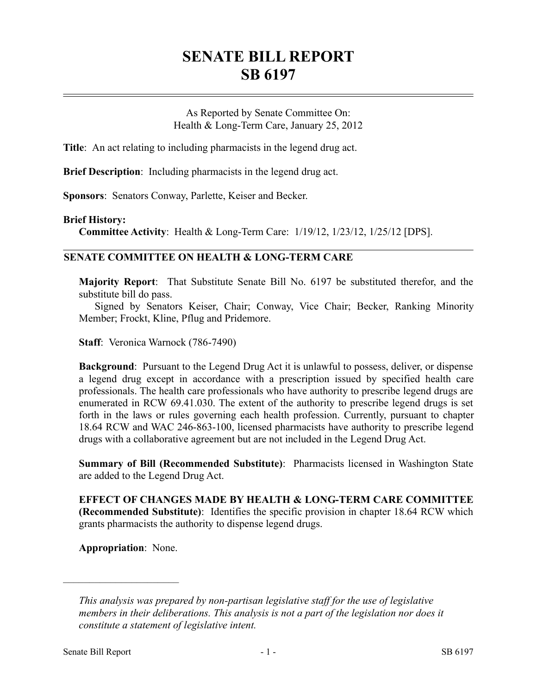## **SENATE BILL REPORT SB 6197**

As Reported by Senate Committee On: Health & Long-Term Care, January 25, 2012

**Title**: An act relating to including pharmacists in the legend drug act.

**Brief Description**: Including pharmacists in the legend drug act.

**Sponsors**: Senators Conway, Parlette, Keiser and Becker.

## **Brief History:**

**Committee Activity**: Health & Long-Term Care: 1/19/12, 1/23/12, 1/25/12 [DPS].

## **SENATE COMMITTEE ON HEALTH & LONG-TERM CARE**

**Majority Report**: That Substitute Senate Bill No. 6197 be substituted therefor, and the substitute bill do pass.

Signed by Senators Keiser, Chair; Conway, Vice Chair; Becker, Ranking Minority Member; Frockt, Kline, Pflug and Pridemore.

**Staff**: Veronica Warnock (786-7490)

**Background**: Pursuant to the Legend Drug Act it is unlawful to possess, deliver, or dispense a legend drug except in accordance with a prescription issued by specified health care professionals. The health care professionals who have authority to prescribe legend drugs are enumerated in RCW 69.41.030. The extent of the authority to prescribe legend drugs is set forth in the laws or rules governing each health profession. Currently, pursuant to chapter 18.64 RCW and WAC 246-863-100, licensed pharmacists have authority to prescribe legend drugs with a collaborative agreement but are not included in the Legend Drug Act.

**Summary of Bill (Recommended Substitute)**: Pharmacists licensed in Washington State are added to the Legend Drug Act.

**EFFECT OF CHANGES MADE BY HEALTH & LONG-TERM CARE COMMITTEE (Recommended Substitute)**: Identifies the specific provision in chapter 18.64 RCW which grants pharmacists the authority to dispense legend drugs.

**Appropriation**: None.

––––––––––––––––––––––

*This analysis was prepared by non-partisan legislative staff for the use of legislative members in their deliberations. This analysis is not a part of the legislation nor does it constitute a statement of legislative intent.*